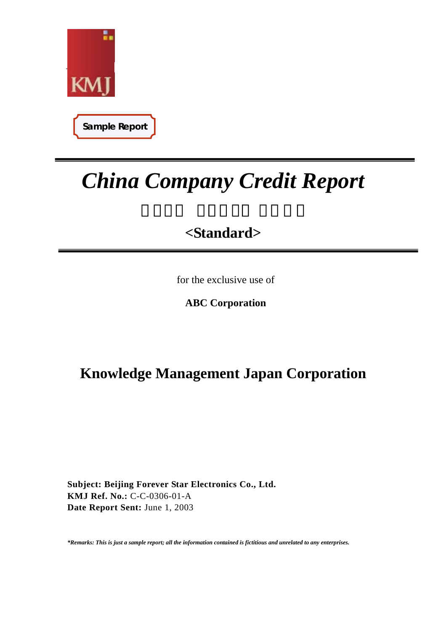

**Sample Report**

# *China Company Credit Report*

# **<Standard>**

for the exclusive use of

 **ABC Corporation** 

# **Knowledge Management Japan Corporation**

**Subject: Beijing Forever Star Electronics Co., Ltd. KMJ Ref. No.:** C-C-0306-01-A **Date Report Sent:** June 1, 2003

*\*Remarks: This is just a sample report; all the information contained is fictitious and unrelated to any enterprises.*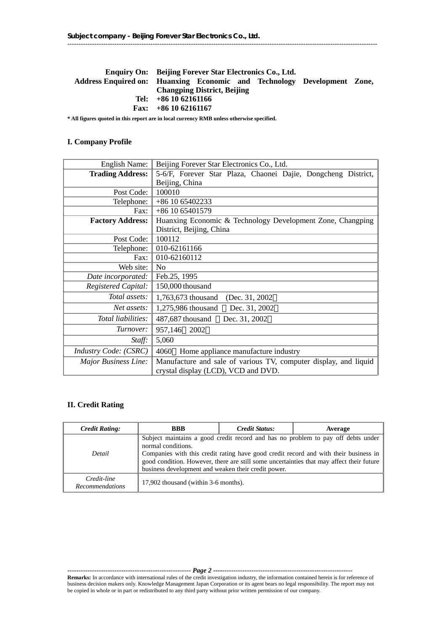# **Enquiry On: Beijing Forever Star Electronics Co., Ltd. Address Enquired on: Huanxing Economic and Technology Development Zone, Changping District, Beijing Tel: +86 10 62161166 Fax: +86 10 62161167**

------------------------------------------------------------------------------------------------------------------------------------------

**\* All figures quoted in this report are in local currency RMB unless otherwise specified.** 

#### **I. Company Profile**

| <b>English Name:</b>       | Beijing Forever Star Electronics Co., Ltd.                                                              |
|----------------------------|---------------------------------------------------------------------------------------------------------|
| <b>Trading Address:</b>    | 5-6/F, Forever Star Plaza, Chaonei Dajie, Dongcheng District,                                           |
|                            | Beijing, China                                                                                          |
| Post Code:                 | 100010                                                                                                  |
| Telephone:                 | +86 10 65402233                                                                                         |
| Fax: $\parallel$           | $+86$ 10 65401579                                                                                       |
| <b>Factory Address:</b>    | Huanxing Economic & Technology Development Zone, Changping                                              |
|                            | District, Beijing, China                                                                                |
| Post Code:                 | 100112                                                                                                  |
| Telephone: $\parallel$     | 010-62161166                                                                                            |
| Fax: $\vdash$              | 010-62160112                                                                                            |
| Web site:                  | N <sub>o</sub>                                                                                          |
| Date incorporated:         | Feb.25, 1995                                                                                            |
| <b>Registered Capital:</b> | 150,000 thousand                                                                                        |
| <i>Total assets:</i> 1     | (Dec. 31, 2002)<br>1,763,673 thousand                                                                   |
| Net assets:                | 1,275,986 thousand<br>Dec. 31, 2002                                                                     |
| Total liabilities:         | Dec. 31, 2002<br>487,687 thousand                                                                       |
| Turnover:                  | 957,146 2002                                                                                            |
| <i>Staff</i> :             | 5,060                                                                                                   |
| Industry Code: (CSRC)      | 4060<br>Home appliance manufacture industry                                                             |
| Major Business Line:       | Manufacture and sale of various TV, computer display, and liquid<br>crystal display (LCD), VCD and DVD. |

#### **II. Credit Rating**

| <b>Credit Rating:</b>                 | <b>BBB</b>                                                                | Credit Status: | Average                                                                                                                                                                                                                                                              |
|---------------------------------------|---------------------------------------------------------------------------|----------------|----------------------------------------------------------------------------------------------------------------------------------------------------------------------------------------------------------------------------------------------------------------------|
| Detail                                | normal conditions.<br>business development and weaken their credit power. |                | Subject maintains a good credit record and has no problem to pay off debts under<br>Companies with this credit rating have good credit record and with their business in<br>good condition. However, there are still some uncertainties that may affect their future |
| Credit-line<br><b>Recommendations</b> | 17,902 thousand (within 3-6 months).                                      |                |                                                                                                                                                                                                                                                                      |

------------------------------------------------------- *Page 2* **----**----------------------------------------------------------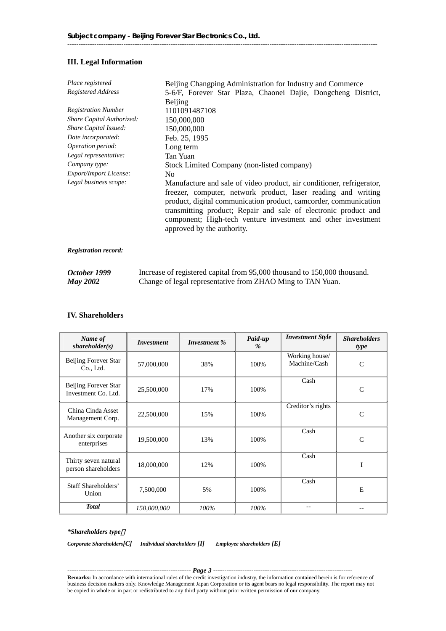# **III. Legal Information**

| Place registered              | Beijing Changping Administration for Industry and Commerce                                                                                                                                                                                                                                                                                                                   |  |  |
|-------------------------------|------------------------------------------------------------------------------------------------------------------------------------------------------------------------------------------------------------------------------------------------------------------------------------------------------------------------------------------------------------------------------|--|--|
| Registered Address            | 5-6/F, Forever Star Plaza, Chaonei Dajie, Dongcheng District,                                                                                                                                                                                                                                                                                                                |  |  |
|                               | Beijing                                                                                                                                                                                                                                                                                                                                                                      |  |  |
| <b>Registration Number</b>    | 1101091487108                                                                                                                                                                                                                                                                                                                                                                |  |  |
| Share Capital Authorized:     | 150,000,000                                                                                                                                                                                                                                                                                                                                                                  |  |  |
| Share Capital Issued:         | 150,000,000                                                                                                                                                                                                                                                                                                                                                                  |  |  |
| Date incorporated:            | Feb. 25, 1995                                                                                                                                                                                                                                                                                                                                                                |  |  |
| Operation period:             | Long term                                                                                                                                                                                                                                                                                                                                                                    |  |  |
| Legal representative:         | Tan Yuan                                                                                                                                                                                                                                                                                                                                                                     |  |  |
| Company type:                 | Stock Limited Company (non-listed company)                                                                                                                                                                                                                                                                                                                                   |  |  |
| <b>Export/Import License:</b> | N <sub>0</sub>                                                                                                                                                                                                                                                                                                                                                               |  |  |
| Legal business scope:         | Manufacture and sale of video product, air conditioner, refrigerator,<br>freezer, computer, network product, laser reading and writing<br>product, digital communication product, came order, communication<br>transmitting product; Repair and sale of electronic product and<br>component; High-tech venture investment and other investment<br>approved by the authority. |  |  |
|                               |                                                                                                                                                                                                                                                                                                                                                                              |  |  |

*Registration record:* 

| October 1999    | Increase of registered capital from 95,000 thousand to 150,000 thousand. |
|-----------------|--------------------------------------------------------------------------|
| <b>May 2002</b> | Change of legal representative from ZHAO Ming to TAN Yuan.               |

#### **IV. Shareholders**

| Name of<br>shareholder(s)                   | <i>Investment</i> | Investment % | Paid-up<br>$\%$ | <b>Investment Style</b>        | <b>Shareholders</b><br>type |
|---------------------------------------------|-------------------|--------------|-----------------|--------------------------------|-----------------------------|
| Beijing Forever Star<br>Co., Ltd.           | 57,000,000        | 38%          | 100%            | Working house/<br>Machine/Cash | $\mathcal{C}$               |
| Beijing Forever Star<br>Investment Co. Ltd. | 25,500,000        | 17%          | 100%            | Cash                           | C                           |
| China Cinda Asset<br>Management Corp.       | 22,500,000        | 15%          | 100%            | Creditor's rights              | $\mathsf{C}$                |
| Another six corporate<br>enterprises        | 19,500,000        | 13%          | 100%            | Cash                           | $\mathcal{C}$               |
| Thirty seven natural<br>person shareholders | 18,000,000        | 12%          | 100%            | Cash                           |                             |
| Staff Shareholders'<br>Union                | 7,500,000         | 5%           | 100%            | Cash                           | E                           |
| <b>Total</b>                                | 150,000,000       | 100%         | 100%            |                                |                             |

#### *\*Shareholders type*:

*Corporate Shareholders[C] Individual shareholders [I] Employee shareholders [E]*

------------------------------------------------------- *Page 3* **----**---------------------------------------------------------- **Remarks:** In accordance with international rules of the credit investigation industry, the information contained herein is for reference of business decision makers only. Knowledge Management Japan Corporation or its agent bears no legal responsibility. The report may not be copied in whole or in part or redistributed to any third party without prior written permission of our company.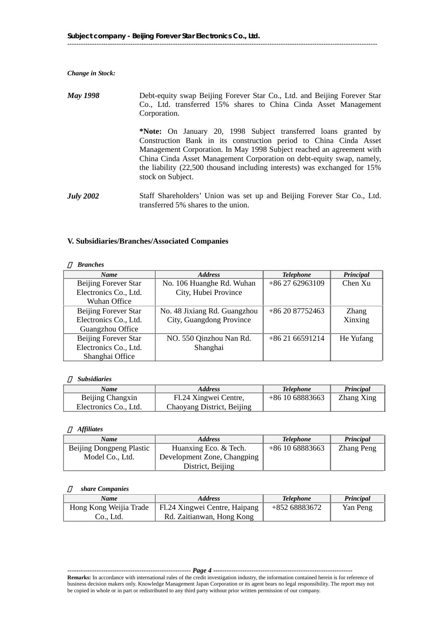*Change in Stock:* 

*May 1998* Debt-equity swap Beijing Forever Star Co., Ltd. and Beijing Forever Star Co., Ltd. transferred 15% shares to China Cinda Asset Management Corporation. **\*Note:** On January 20, 1998 Subject transferred loans granted by Construction Bank in its construction period to China Cinda Asset Management Corporation. In May 1998 Subject reached an agreement with China Cinda Asset Management Corporation on debt-equity swap, namely, the liability (22,500 thousand including interests) was exchanged for 15% stock on Subject. *July 2002* Staff Shareholders' Union was set up and Beijing Forever Star Co., Ltd. transferred 5% shares to the union.

#### **V. Subsidiaries/Branches/Associated Companies**

#### <sup>⑴</sup> *Branches*

| <b>Name</b>           | <b>Address</b>               | <b>Telephone</b> | Principal    |
|-----------------------|------------------------------|------------------|--------------|
| Beijing Forever Star  | No. 106 Huanghe Rd. Wuhan    | $+862762963109$  | Chen Xu      |
| Electronics Co., Ltd. | City, Hubei Province         |                  |              |
| Wuhan Office          |                              |                  |              |
| Beijing Forever Star  | No. 48 Jixiang Rd. Guangzhou | $+862087752463$  | <b>Zhang</b> |
| Electronics Co., Ltd. | City, Guangdong Province     |                  | Xinxing      |
| Guangzhou Office      |                              |                  |              |
| Beijing Forever Star  | NO. 550 Qinzhou Nan Rd.      | $+862166591214$  | He Yufang    |
| Electronics Co., Ltd. | Shanghai                     |                  |              |
| Shanghai Office       |                              |                  |              |

#### <sup>⑵</sup> *Subsidiaries*

| Name                  | <i><b>Address</b></i>      | <b>Telephone</b> | Principal  |
|-----------------------|----------------------------|------------------|------------|
| Beijing Changxin      | Fl.24 Xingwei Centre,      | $+861068883663$  | Zhang Xing |
| Electronics Co., Ltd. | Chaoyang District, Beijing |                  |            |

#### <sup>⑶</sup> *Affiliates*

| Name                     | <b>Address</b>              | <b>Telephone</b> | Principal         |
|--------------------------|-----------------------------|------------------|-------------------|
| Beijing Dongpeng Plastic | Huanxing Eco. & Tech.       | $+861068883663$  | <b>Zhang Peng</b> |
| Model Co., Ltd.          | Development Zone, Changping |                  |                   |
|                          | District, Beijing           |                  |                   |

#### <sup>⑷</sup> *share Companies*

| Name    | <b>Address</b>                                         | <b>Telephone</b> | <b>Principal</b> |
|---------|--------------------------------------------------------|------------------|------------------|
|         | Hong Kong Weijia Trade   Fl.24 Xingwei Centre, Haipang | +852 68883672    | Yan Peng         |
| Co Ltd. | Rd. Zaitianwan, Hong Kong                              |                  |                  |

#### ------------------------------------------------------- *Page 4* **----**----------------------------------------------------------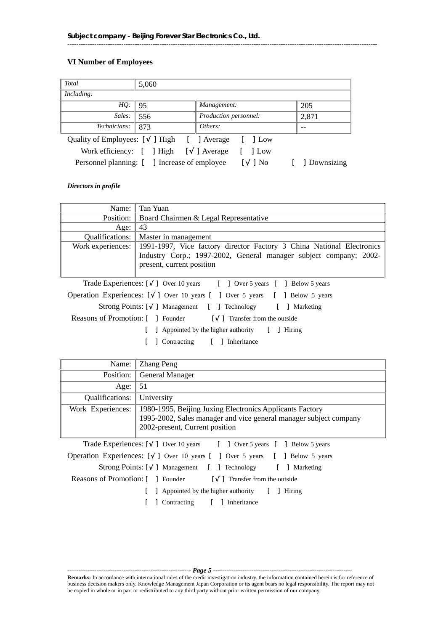# **VI Number of Employees**

| Total                                      | 5,060                                        |                       |              |
|--------------------------------------------|----------------------------------------------|-----------------------|--------------|
| Including:                                 |                                              |                       |              |
| HO: 95                                     |                                              | Management:           | 205          |
| Sales:                                     | 556                                          | Production personnel: | 2,871        |
| Technicians:                               | 873                                          | Others:               | --           |
| Quality of Employees: [ ] High [ ] Average |                                              | 1 Low                 |              |
|                                            | Work efficiency: [ ] High [                  | Average<br>1 Low      |              |
|                                            | Personnel planning: [ ] Increase of employee | 1 No                  | 1 Downsizing |

------------------------------------------------------------------------------------------------------------------------------------------

*Directors in profile* 

|                 | Name: Tan Yuan                                                                          |
|-----------------|-----------------------------------------------------------------------------------------|
|                 | Position:   Board Chairmen & Legal Representative                                       |
| Age:            | 43                                                                                      |
| Qualifications: | Master in management                                                                    |
|                 | Work experiences: 1991-1997, Vice factory director Factory 3 China National Electronics |
|                 | Industry Corp.; 1997-2002, General manager subject company; 2002-                       |
|                 | present, current position                                                               |
|                 |                                                                                         |
|                 | Trade Experiences: [ ] Over 10 years [ ] Over 5 years [ ] Below 5 years                 |
|                 | Operation Experiences: [ ] Over 10 years [ ] Over 5 years [ ] Below 5 years             |
|                 | Strong Points: [ ] Management [ ] Technology [ ] Marketing                              |
|                 | Reasons of Promotion: [ ] Founder [ ] Transfer from the outside                         |
|                 | Appointed by the higher authority []<br>Hiring                                          |
|                 | Contracting [ ] Inheritance                                                             |

|                   | Name:   Zhang Peng                                                          |
|-------------------|-----------------------------------------------------------------------------|
|                   | <b>Position:</b> General Manager                                            |
| Age:              | -51                                                                         |
| Qualifications:   | University                                                                  |
| Work Experiences: | 1980-1995, Beijing Juxing Electronics Applicants Factory                    |
|                   | 1995-2002, Sales manager and vice general manager subject company           |
|                   | 2002-present, Current position                                              |
|                   | Trade Experiences: [ ] Over 10 years [ ] Over 5 years [ ] Below 5 years     |
|                   | Operation Experiences: [ ] Over 10 years [ ] Over 5 years [ ] Below 5 years |
|                   | Strong Points: [ ] Management [ ] Technology [ ] Marketing                  |
|                   | Reasons of Promotion: [ ] Founder [ ] Transfer from the outside             |

[ ] Appointed by the higher authority [ ] Hiring

[ ] Contracting [ ] Inheritance

------------------------------------------------------- *Page 5* **----**---------------------------------------------------------- **Remarks:** In accordance with international rules of the credit investigation industry, the information contained herein is for reference of business decision makers only. Knowledge Management Japan Corporation or its agent bears no legal responsibility. The report may not be copied in whole or in part or redistributed to any third party without prior written permission of our company.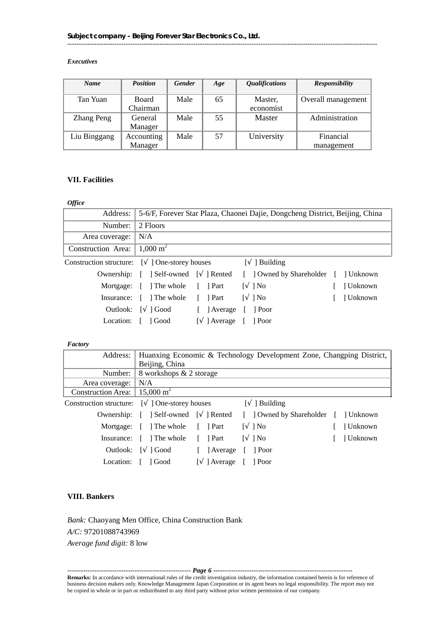# *Executives*

| <b>Name</b>  | <b>Position</b> | <b>Gender</b> | Age | <i><b>Qualifications</b></i> | <b>Responsibility</b> |
|--------------|-----------------|---------------|-----|------------------------------|-----------------------|
|              |                 |               |     |                              |                       |
| Tan Yuan     | <b>Board</b>    | Male          | 65  | Master,                      | Overall management    |
|              | Chairman        |               |     | economist                    |                       |
| Zhang Peng   | General         | Male          | 55  | Master                       | Administration        |
|              | Manager         |               |     |                              |                       |
| Liu Binggang | Accounting      | Male          | 57  | University                   | Financial             |
|              | Manager         |               |     |                              | management            |

------------------------------------------------------------------------------------------------------------------------------------------

# **VII. Facilities**

# *Office*

|                                               |                                      | Address: 5-6/F, Forever Star Plaza, Chaonei Dajie, Dongcheng District, Beijing, China |                                      |           |  |  |
|-----------------------------------------------|--------------------------------------|---------------------------------------------------------------------------------------|--------------------------------------|-----------|--|--|
| Number:                                       | 2 Floors                             |                                                                                       |                                      |           |  |  |
| Area coverage:                                | N/A                                  |                                                                                       |                                      |           |  |  |
| Construction Area:                            | 1,000 m <sup>2</sup>                 |                                                                                       |                                      |           |  |  |
| Construction structure: [ ] One-storey houses |                                      |                                                                                       | 1 Building                           |           |  |  |
|                                               | Ownership: [ ] Self-owned [ ] Rented |                                                                                       | [ ] Owned by Shareholder [ ] Unknown |           |  |  |
|                                               | Mortgage: [ ] The whole [ ] Part     |                                                                                       | 1N <sub>0</sub><br>$\mathbf{L}$      | ] Unknown |  |  |
| Insurance:                                    | $\lceil$ The whole $\lceil$ Part     |                                                                                       | 1N <sub>0</sub>                      | ] Unknown |  |  |
| Outlook:                                      | l Good                               | Average                                                                               | Poor                                 |           |  |  |

Location: [ ] Good [ ] Average [ ] Poor

#### *Factory*

|                                                  | Address: Huanxing Economic & Technology Development Zone, Changping District, |  |             |              |                                                                           |  |           |
|--------------------------------------------------|-------------------------------------------------------------------------------|--|-------------|--------------|---------------------------------------------------------------------------|--|-----------|
|                                                  | Beijing, China                                                                |  |             |              |                                                                           |  |           |
|                                                  | Number: $\vert$ 8 workshops & 2 storage                                       |  |             |              |                                                                           |  |           |
| Area coverage:   N/A                             |                                                                               |  |             |              |                                                                           |  |           |
| Construction Area: $\vert$ 15,000 m <sup>2</sup> |                                                                               |  |             |              |                                                                           |  |           |
| Construction structure: [ ] One-storey houses    |                                                                               |  |             |              | Building                                                                  |  |           |
|                                                  |                                                                               |  |             |              | Ownership: [ ] Self-owned [ ] Rented [ ] Owned by Shareholder [ ] Unknown |  |           |
|                                                  | Mortgage: [ ] The whole [ ] Part                                              |  |             | $\mathbf{L}$ | $\log$                                                                    |  | ] Unknown |
|                                                  | Insurance: [ ] The whole [ ] Part                                             |  |             |              | $\log$                                                                    |  | ] Unknown |
|                                                  | Outlook: [ ] Good                                                             |  | [ ] Average |              | $\lceil$ Poor                                                             |  |           |
| Location:                                        | Good                                                                          |  | 1 Average   |              | Poor                                                                      |  |           |

# **VIII. Bankers**

*Bank:* Chaoyang Men Office, China Construction Bank *A/C:* 97201088743969 *Average fund digit:* 8 low

------------------------------------------------------- *Page 6* **----**---------------------------------------------------------- **Remarks:** In accordance with international rules of the credit investigation industry, the information contained herein is for reference of business decision makers only. Knowledge Management Japan Corporation or its agent bears no legal responsibility. The report may not be copied in whole or in part or redistributed to any third party without prior written permission of our company.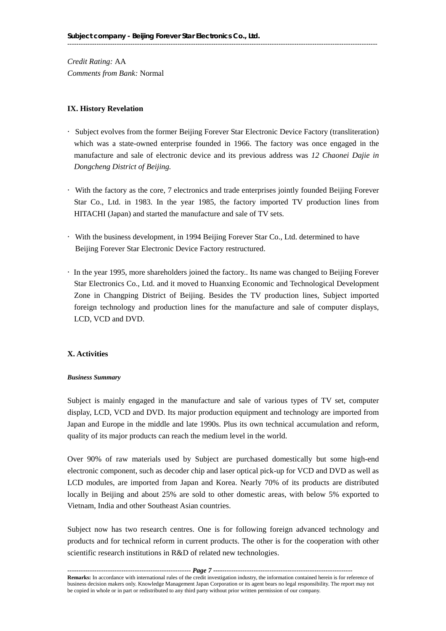*Credit Rating:* AA *Comments from Bank:* Normal

#### **IX. History Revelation**

- ·Subject evolves from the former Beijing Forever Star Electronic Device Factory (transliteration) which was a state-owned enterprise founded in 1966. The factory was once engaged in the manufacture and sale of electronic device and its previous address was *12 Chaonei Dajie in Dongcheng District of Beijing.*
- ·With the factory as the core, 7 electronics and trade enterprises jointly founded Beijing Forever Star Co., Ltd. in 1983. In the year 1985, the factory imported TV production lines from HITACHI (Japan) and started the manufacture and sale of TV sets.
- ·With the business development, in 1994 Beijing Forever Star Co., Ltd. determined to have Beijing Forever Star Electronic Device Factory restructured.
- ·In the year 1995, more shareholders joined the factory.. Its name was changed to Beijing Forever Star Electronics Co., Ltd. and it moved to Huanxing Economic and Technological Development Zone in Changping District of Beijing. Besides the TV production lines, Subject imported foreign technology and production lines for the manufacture and sale of computer displays, LCD, VCD and DVD.

#### **X. Activities**

#### *Business Summary*

Subject is mainly engaged in the manufacture and sale of various types of TV set, computer display, LCD, VCD and DVD. Its major production equipment and technology are imported from Japan and Europe in the middle and late 1990s. Plus its own technical accumulation and reform, quality of its major products can reach the medium level in the world.

Over 90% of raw materials used by Subject are purchased domestically but some high-end electronic component, such as decoder chip and laser optical pick-up for VCD and DVD as well as LCD modules, are imported from Japan and Korea. Nearly 70% of its products are distributed locally in Beijing and about 25% are sold to other domestic areas, with below 5% exported to Vietnam, India and other Southeast Asian countries.

Subject now has two research centres. One is for following foreign advanced technology and products and for technical reform in current products. The other is for the cooperation with other scientific research institutions in R&D of related new technologies.

------------------------------------------------------- *Page 7* **----**---------------------------------------------------------- **Remarks:** In accordance with international rules of the credit investigation industry, the information contained herein is for reference of business decision makers only. Knowledge Management Japan Corporation or its agent bears no legal responsibility. The report may not be copied in whole or in part or redistributed to any third party without prior written permission of our company.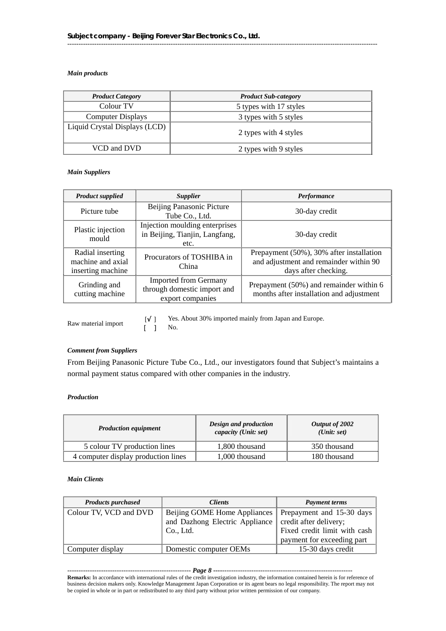#### *Main products*

| <b>Product Category</b>       | <b>Product Sub-category</b> |
|-------------------------------|-----------------------------|
| Colour TV                     | 5 types with 17 styles      |
| <b>Computer Displays</b>      | 3 types with 5 styles       |
| Liquid Crystal Displays (LCD) | 2 types with 4 styles       |
| VCD and DVD                   | 2 types with 9 styles       |

------------------------------------------------------------------------------------------------------------------------------------------

#### *Main Suppliers*

| <b>Product supplied</b>                                    | <b>Supplier</b>                                                                 | <b>Performance</b>                                                                                         |  |
|------------------------------------------------------------|---------------------------------------------------------------------------------|------------------------------------------------------------------------------------------------------------|--|
| Picture tube                                               | Beijing Panasonic Picture<br>Tube Co., Ltd.                                     | 30-day credit                                                                                              |  |
| Plastic injection<br>mould                                 | Injection moulding enterprises<br>in Beijing, Tianjin, Langfang,<br>etc.        | 30-day credit                                                                                              |  |
| Radial inserting<br>machine and axial<br>inserting machine | Procurators of TOSHIBA in<br>China                                              | Prepayment (50%), 30% after installation<br>and adjustment and remainder within 90<br>days after checking. |  |
| Grinding and<br>cutting machine                            | <b>Imported from Germany</b><br>through domestic import and<br>export companies | Prepayment (50%) and remainder within 6<br>months after installation and adjustment                        |  |

Raw material import [ ] Yes. About 30% imported mainly from Japan and Europe.<br>
[ ] No.

#### *Comment from Suppliers*

From Beijing Panasonic Picture Tube Co., Ltd., our investigators found that Subject's maintains a normal payment status compared with other companies in the industry.

#### *Production*

| <b>Production equipment</b>         | Design and production<br>capacity (Unit: set) | Output of 2002<br>(Unit: set) |  |
|-------------------------------------|-----------------------------------------------|-------------------------------|--|
| 5 colour TV production lines        | 1,800 thousand                                | 350 thousand                  |  |
| 4 computer display production lines | 1,000 thousand                                | 180 thousand                  |  |

#### *Main Clients*

| <b>Products purchased</b> | <i>Clients</i>                                           | <b>Payment terms</b>         |
|---------------------------|----------------------------------------------------------|------------------------------|
| Colour TV, VCD and DVD    | Beijing GOME Home Appliances   Prepayment and 15-30 days |                              |
|                           | and Dazhong Electric Appliance   credit after delivery;  |                              |
|                           | Co., Ltd.                                                | Fixed credit limit with cash |
|                           |                                                          | payment for exceeding part   |
| Computer display          | Domestic computer OEMs                                   | 15-30 days credit            |

#### ------------------------------------------------------- *Page 8* **----**----------------------------------------------------------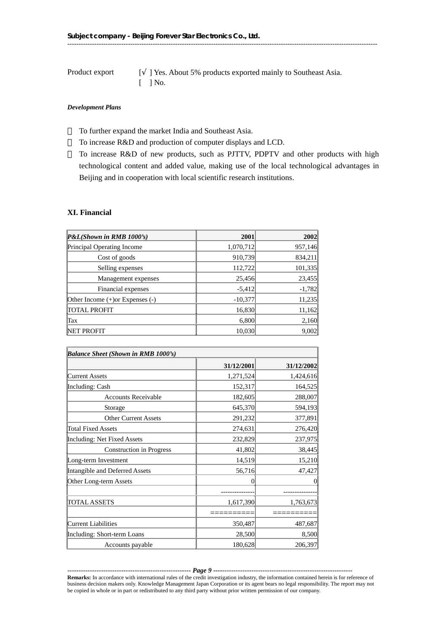Product export  $\qquad$  [ ] Yes. About 5% products exported mainly to Southeast Asia.  $\lceil$   $\rceil$  No.

#### *Development Plans*

To further expand the market India and Southeast Asia.

To increase R&D and production of computer displays and LCD.

 To increase R&D of new products, such as PJTTV, PDPTV and other products with high technological content and added value, making use of the local technological advantages in Beijing and in cooperation with local scientific research institutions.

# **XI. Financial**

| P&L(Shown in RMB 1000's)             | 2001      | 2002     |
|--------------------------------------|-----------|----------|
| Principal Operating Income           | 1,070,712 | 957,146  |
| Cost of goods                        | 910,739   | 834,211  |
| Selling expenses                     | 112,722   | 101,335  |
| Management expenses                  | 25,456    | 23,455   |
| Financial expenses                   | $-5,412$  | $-1,782$ |
| Other Income $(+)$ or Expenses $(-)$ | $-10,377$ | 11,235   |
| <b>TOTAL PROFIT</b>                  | 16,830    | 11,162   |
| Tax                                  | 6,800     | 2,160    |
| NET PROFIT                           | 10,030    | 9,002    |

| Balance Sheet (Shown in RMB 1000's) |            |            |
|-------------------------------------|------------|------------|
|                                     | 31/12/2001 | 31/12/2002 |
| Current Assets                      | 1,271,524  | 1,424,616  |
| Including: Cash                     | 152,317    | 164,525    |
| <b>Accounts Receivable</b>          | 182,605    | 288,007    |
| Storage                             | 645,370    | 594,193    |
| <b>Other Current Assets</b>         | 291,232    | 377,891    |
| Total Fixed Assets                  | 274,631    | 276,420    |
| Including: Net Fixed Assets         | 232,829    | 237,975    |
| <b>Construction</b> in Progress     | 41,802     | 38,445     |
| Long-term Investment                | 14,519     | 15,210     |
| Intangible and Deferred Assets      | 56,716     | 47,427     |
| Other Long-term Assets              | 0          | $\Omega$   |
|                                     |            |            |
| TOTAL ASSETS                        | 1,617,390  | 1,763,673  |
|                                     |            |            |
| Current Liabilities                 | 350,487    | 487,687    |
| Including: Short-term Loans         | 28,500     | 8,500      |
| Accounts payable                    | 180,628    | 206,397    |

------------------------------------------------------- *Page 9* **----**---------------------------------------------------------- **Remarks:** In accordance with international rules of the credit investigation industry, the information contained herein is for reference of business decision makers only. Knowledge Management Japan Corporation or its agent bears no legal responsibility. The report may not be copied in whole or in part or redistributed to any third party without prior written permission of our company.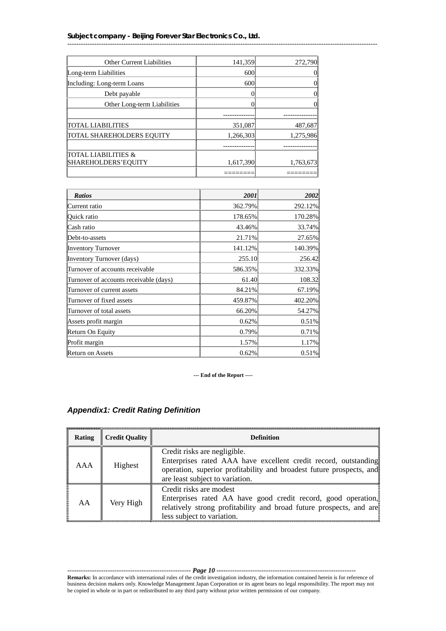| <b>Other Current Liabilities</b> | 141,359   | 272,790   |
|----------------------------------|-----------|-----------|
| Long-term Liabilities            | 600       |           |
| Including: Long-term Loans       | 600       | 0         |
| Debt payable                     |           | 0         |
| Other Long-term Liabilities      |           |           |
|                                  |           |           |
| <b>TOTAL LIABILITIES</b>         | 351,087   | 487,687   |
| TOTAL SHAREHOLDERS EQUITY        | 1,266,303 | 1,275,986 |
|                                  |           |           |
| TOTAL LIABILITIES &              |           |           |
| SHAREHOLDERS'EQUITY              | 1,617,390 | 1,763,673 |
|                                  |           |           |

------------------------------------------------------------------------------------------------------------------------------------------

| <b>Ratios</b>                          | <b>2001</b> | 2002 <sup>j</sup> |
|----------------------------------------|-------------|-------------------|
| Current ratio                          | 362.79%     | 292.12%           |
| Quick ratio                            | 178.65%     | 170.28%           |
| Cash ratio                             | 43.46%      | 33.74%            |
| Debt-to-assets                         | 21.71%      | 27.65%            |
| Inventory Turnover                     | 141.12%     | 140.39%           |
| Inventory Turnover (days)              | 255.10      | 256.42            |
| Turnover of accounts receivable        | 586.35%     | 332.33%           |
| Turnover of accounts receivable (days) | 61.40       | 108.32            |
| Turnover of current assets             | 84.21%      | 67.19%            |
| Turnover of fixed assets               | 459.87%     | 402.20%           |
| Turnover of total assets               | 66.20%      | 54.27%            |
| Assets profit margin                   | $0.62\%$    | 0.51%             |
| Return On Equity                       | $0.79\%$    | 0.71%             |
| Profit margin                          | 1.57%       | 1.17%             |
| <b>Return on Assets</b>                | $0.62\%$    | $0.51\%$          |

**--- End of the Report ----**

| <b>Rating</b> | <b>Credit Quality</b> | <b>Definition</b>                                                                                                                                                                                          |
|---------------|-----------------------|------------------------------------------------------------------------------------------------------------------------------------------------------------------------------------------------------------|
| AAA           | Highest               | Credit risks are negligible.<br>Enterprises rated AAA have excellent credit record, outstanding<br>operation, superior profitability and broadest future prospects, and<br>are least subject to variation. |
| AA            | Very High             | Credit risks are modest<br>Enterprises rated AA have good credit record, good operation,<br>relatively strong profitability and broad future prospects, and are<br>less subject to variation.              |

# *Appendix1: Credit Rating Definition*

------------------------------------------------------- *Page 10* **----**---------------------------------------------------------- **Remarks:** In accordance with international rules of the credit investigation industry, the information contained herein is for reference of business decision makers only. Knowledge Management Japan Corporation or its agent bears no legal responsibility. The report may not be copied in whole or in part or redistributed to any third party without prior written permission of our company.